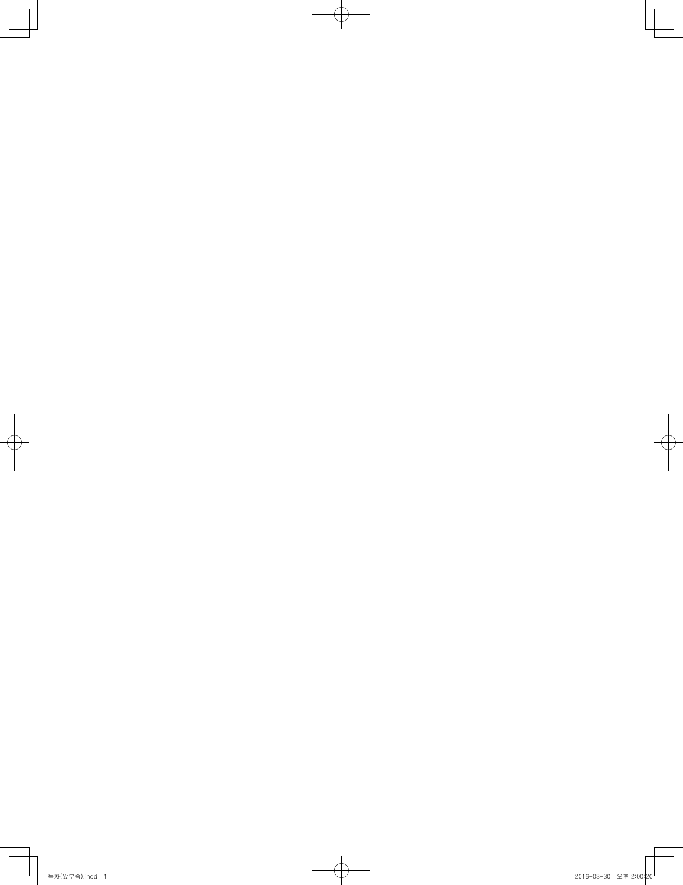$\frac{1}{1}$ 

 $\begin{array}{c} \n\downarrow \\ \n\downarrow \n\end{array}$ 

 $\overline{\oplus}$ 

 $\begin{array}{c} \n\downarrow \\ \n\downarrow \n\end{array}$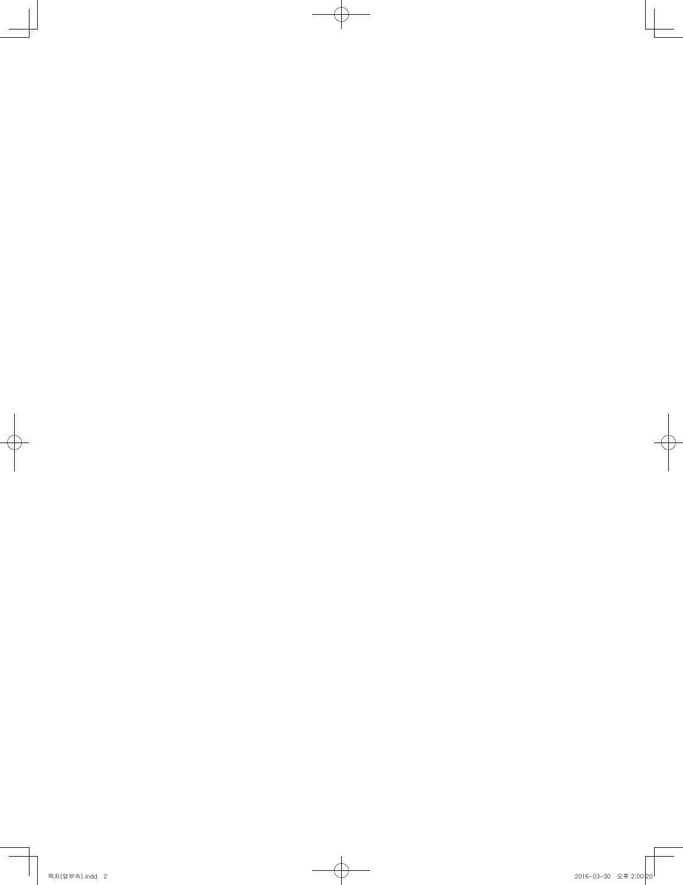$\frac{1}{\sqrt{2}}$ 

 $\begin{array}{c} \n\downarrow \\ \n\downarrow \n\end{array}$ 

 $\overline{\oplus}$ 

 $\begin{array}{c} \n\downarrow \\ \n\downarrow \n\end{array}$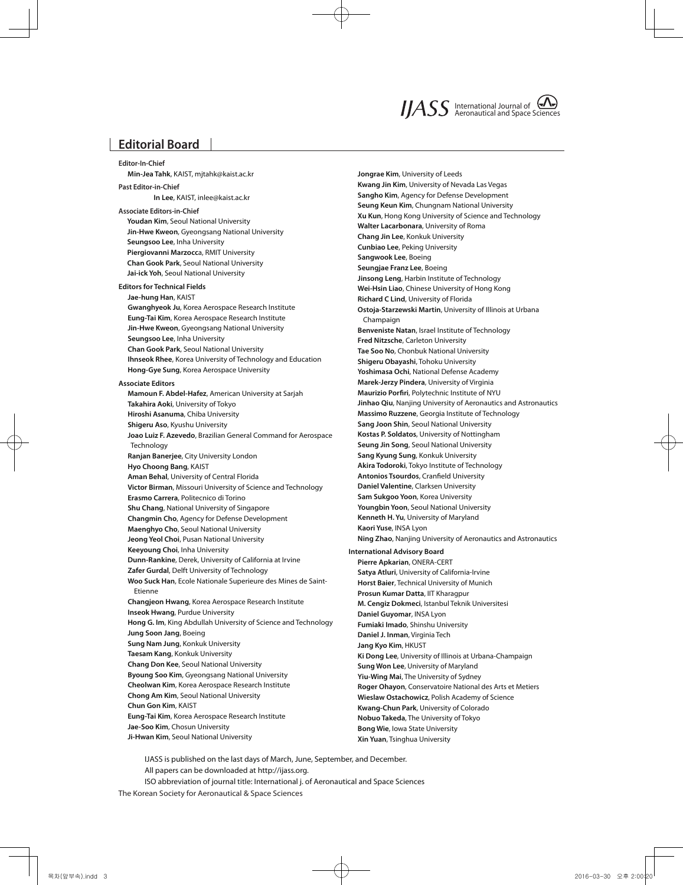# **Editorial Board**

#### **Editor-In-Chief**

**Min-Jea Tahk**, KAIST, mjtahk@kaist.ac.kr **Past Editor-in-Chief In Lee**, KAIST, inlee@kaist.ac.kr **Associate Editors-in-Chief Youdan Kim**, Seoul National University **Jin-Hwe Kweon**, Gyeongsang National University **Seungsoo Lee**, Inha University **Piergiovanni Marzocc**a, RMIT University **Chan Gook Park**, Seoul National University **Jai-ick Yoh**, Seoul National University **Editors for Technical Fields Jae-hung Han**, KAIST **Gwanghyeok Ju**, Korea Aerospace Research Institute **Eung-Tai Kim**, Korea Aerospace Research Institute **Jin-Hwe Kweon**, Gyeongsang National University **Seungsoo Lee**, Inha University **Chan Gook Park**, Seoul National University **Ihnseok Rhee**, Korea University of Technology and Education **Hong-Gye Sung**, Korea Aerospace University **Associate Editors Mamoun F. Abdel-Hafez**, American University at Sarjah **Takahira Aoki**, University of Tokyo **Hiroshi Asanuma**, Chiba University **Shigeru Aso**, Kyushu University **Joao Luiz F. Azevedo**, Brazilian General Command for Aerospace Technology **Ranjan Banerjee**, City University London **Hyo Choong Bang**, KAIST **Aman Behal**, University of Central Florida **Victor Birman**, Missouri University of Science and Technology **Erasmo Carrera**, Politecnico di Torino **Shu Chang**, National University of Singapore **Changmin Cho**, Agency for Defense Development **Maenghyo Cho**, Seoul National University **Jeong Yeol Choi**, Pusan National University **Keeyoung Choi**, Inha University **Dunn-Rankine**, Derek, University of California at Irvine **Zafer Gurdal**, Delft University of Technology **Woo Suck Han**, Ecole Nationale Superieure des Mines de Saint-Etienne **Changjeon Hwang**, Korea Aerospace Research Institute **Inseok Hwang**, Purdue University **Hong G. Im**, King Abdullah University of Science and Technology **Jung Soon Jang**, Boeing **Sung Nam Jung**, Konkuk University **Taesam Kang**, Konkuk University **Chang Don Kee**, Seoul National University **Byoung Soo Kim**, Gyeongsang National University **Cheolwan Kim**, Korea Aerospace Research Institute **Chong Am Kim**, Seoul National University **Chun Gon Kim**, KAIST **Eung-Tai Kim**, Korea Aerospace Research Institute **Jae-Soo Kim**, Chosun University

**Ji-Hwan Kim**, Seoul National University

**Jongrae Kim**, University of Leeds **Kwang Jin Kim**, University of Nevada Las Vegas **Sangho Kim**, Agency for Defense Development **Seung Keun Kim**, Chungnam National University **Xu Kun**, Hong Kong University of Science and Technology **Walter Lacarbonara**, University of Roma **Chang Jin Lee**, Konkuk University **Cunbiao Lee**, Peking University **Sangwook Lee**, Boeing **Seungjae Franz Lee**, Boeing **Jinsong Leng**, Harbin Institute of Technology **Wei-Hsin Liao**, Chinese University of Hong Kong **Richard C Lind**, University of Florida **Ostoja-Starzewski Martin**, University of Illinois at Urbana Champaign **Benveniste Natan**, Israel Institute of Technology **Fred Nitzsche**, Carleton University **Tae Soo No**, Chonbuk National University **Shigeru Obayashi**, Tohoku University **Yoshimasa Ochi**, National Defense Academy **Marek-Jerzy Pindera**, University of Virginia **Maurizio Porfiri**, Polytechnic Institute of NYU **Jinhao Qiu**, Nanjing University of Aeronautics and Astronautics **Massimo Ruzzene**, Georgia Institute of Technology **Sang Joon Shin**, Seoul National University **Kostas P. Soldatos**, University of Nottingham **Seung Jin Song**, Seoul National University **Sang Kyung Sung**, Konkuk University **Akira Todoroki**, Tokyo Institute of Technology **Antonios Tsourdos**, Cranfield University **Daniel Valentine**, Clarksen University **Sam Sukgoo Yoon**, Korea University **Youngbin Yoon**, Seoul National University **Kenneth H. Yu**, University of Maryland **Kaori Yuse**, INSA Lyon **Ning Zhao**, Nanjing University of Aeronautics and Astronautics **International Advisory Board Pierre Apkarian**, ONERA-CERT **Satya Atluri**, University of California-Irvine **Horst Baier**, Technical University of Munich **Prosun Kumar Datta**, IIT Kharagpur **M. Cengiz Dokmeci**, Istanbul Teknik Universitesi **Daniel Guyomar**, INSA Lyon **Fumiaki Imado**, Shinshu University **Daniel J. Inman**, Virginia Tech **Jang Kyo Kim**, HKUST **Ki Dong Lee**, University of Illinois at Urbana-Champaign **Sung Won Lee**, University of Maryland **Yiu-Wing Mai**, The University of Sydney **Roger Ohayon**, Conservatoire National des Arts et Metiers **Wieslaw Ostachowicz**, Polish Academy of Science **Kwang-Chun Park**, University of Colorado **Nobuo Takeda**, The University of Tokyo **Bong Wie**, Iowa State University

**Xin Yuan**, Tsinghua University

IJASS is published on the last days of March, June, September, and December.

All papers can be downloaded at http://ijass.org.

ISO abbreviation of journal title: International j. of Aeronautical and Space Sciences

The Korean Society for Aeronautical & Space Sciences